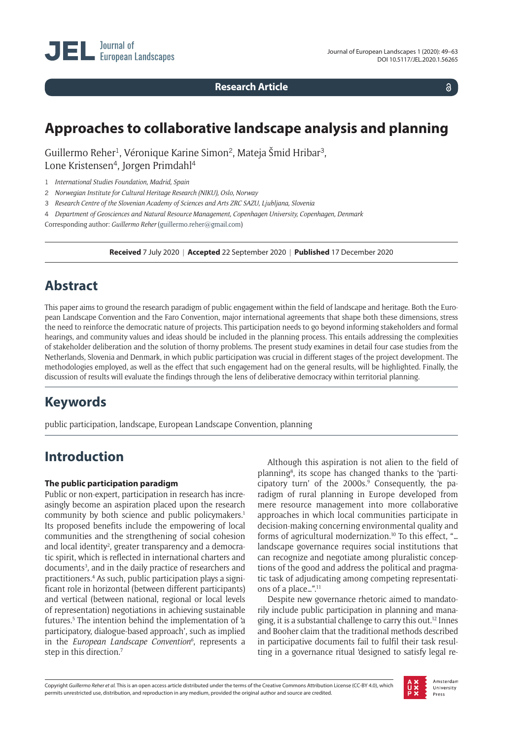**Research Article**

 $\delta$ 

# **Approaches to collaborative landscape analysis and planning**

Guillermo Reher<sup>1</sup>, Véronique Karine Simon<sup>2</sup>, Mateja Šmid Hribar<sup>3</sup>, Lone Kristensen<sup>4</sup>, Jørgen Primdahl<sup>4</sup>

2 *Norwegian Institute for Cultural Heritage Research (NIKU), Oslo, Norway*

3 *Research Centre of the Slovenian Academy of Sciences and Arts ZRC SAZU, Ljubljana, Slovenia*

4 *Department of Geosciences and Natural Resource Management, Copenhagen University, Copenhagen, Denmark*

Corresponding author: *Guillermo Reher* [\(guillermo.reher@gmail.com](mailto:guillermo.reher@gmail.com))

**Received** 7 July 2020 | **Accepted** 22 September 2020 | **Published** 17 December 2020

## **Abstract**

This paper aims to ground the research paradigm of public engagement within the field of landscape and heritage. Both the European Landscape Convention and the Faro Convention, major international agreements that shape both these dimensions, stress the need to reinforce the democratic nature of projects. This participation needs to go beyond informing stakeholders and formal hearings, and community values and ideas should be included in the planning process. This entails addressing the complexities of stakeholder deliberation and the solution of thorny problems. The present study examines in detail four case studies from the Netherlands, Slovenia and Denmark, in which public participation was crucial in different stages of the project development. The methodologies employed, as well as the effect that such engagement had on the general results, will be highlighted. Finally, the discussion of results will evaluate the findings through the lens of deliberative democracy within territorial planning.

# **Keywords**

public participation, landscape, European Landscape Convention, planning

# **Introduction**

#### **The public participation paradigm**

Public or non-expert, participation in research has increasingly become an aspiration placed upon the research community by both science and public policymakers.<sup>1</sup> Its proposed benefits include the empowering of local communities and the strengthening of social cohesion and local identity<sup>2</sup>, greater transparency and a democratic spirit, which is reflected in international charters and documents<sup>3</sup>, and in the daily practice of researchers and practitioners.4 As such, public participation plays a significant role in horizontal (between different participants) and vertical (between national, regional or local levels of representation) negotiations in achieving sustainable futures.<sup>5</sup> The intention behind the implementation of 'a participatory, dialogue-based approach', such as implied in the *European Landscape Convention6* , represents a step in this direction.7

Although this aspiration is not alien to the field of planning8 , its scope has changed thanks to the 'participatory turn' of the 2000s.<sup>9</sup> Consequently, the paradigm of rural planning in Europe developed from mere resource management into more collaborative approaches in which local communities participate in decision-making concerning environmental quality and forms of agricultural modernization.10 To this effect, "… landscape governance requires social institutions that can recognize and negotiate among pluralistic conceptions of the good and address the political and pragmatic task of adjudicating among competing representations of a place…".11

Despite new governance rhetoric aimed to mandatorily include public participation in planning and managing, it is a substantial challenge to carry this out.12 Innes and Booher claim that the traditional methods described in participative documents fail to fulfil their task resulting in a governance ritual 'designed to satisfy legal re-

Copyright *Guillermo Reher et al.* This is an open access article distributed under the terms of the Creative Commons Attribution License (CC-BY 4.0), which permits unrestricted use, distribution, and reproduction in any medium, provided the original author and source are credited.



<sup>1</sup> *International Studies Foundation, Madrid, Spain*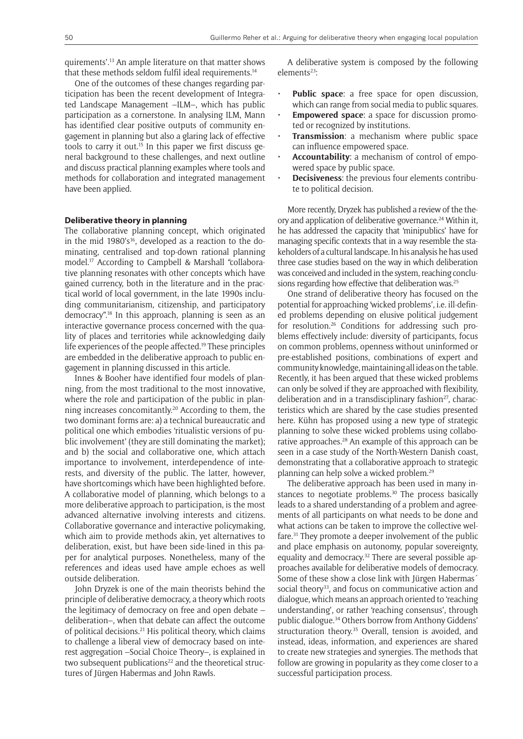quirements'.13 An ample literature on that matter shows that these methods seldom fulfil ideal requirements.<sup>14</sup>

One of the outcomes of these changes regarding participation has been the recent development of Integrated Landscape Management –ILM–, which has public participation as a cornerstone. In analysing ILM, Mann has identified clear positive outputs of community engagement in planning but also a glaring lack of effective tools to carry it out.<sup>15</sup> In this paper we first discuss general background to these challenges, and next outline and discuss practical planning examples where tools and methods for collaboration and integrated management have been applied.

#### **Deliberative theory in planning**

The collaborative planning concept, which originated in the mid  $1980's^{16}$ , developed as a reaction to the dominating, centralised and top-down rational planning model.17 According to Campbell & Marshall "collaborative planning resonates with other concepts which have gained currency, both in the literature and in the practical world of local government, in the late 1990s including communitarianism, citizenship, and participatory democracy".18 In this approach, planning is seen as an interactive governance process concerned with the quality of places and territories while acknowledging daily life experiences of the people affected.19 These principles are embedded in the deliberative approach to public engagement in planning discussed in this article.

Innes & Booher have identified four models of planning, from the most traditional to the most innovative, where the role and participation of the public in planning increases concomitantly.20 According to them, the two dominant forms are: a) a technical bureaucratic and political one which embodies 'ritualistic versions of public involvement' (they are still dominating the market); and b) the social and collaborative one, which attach importance to involvement, interdependence of interests, and diversity of the public. The latter, however, have shortcomings which have been highlighted before. A collaborative model of planning, which belongs to a more deliberative approach to participation, is the most advanced alternative involving interests and citizens. Collaborative governance and interactive policymaking, which aim to provide methods akin, yet alternatives to deliberation, exist, but have been side-lined in this paper for analytical purposes. Nonetheless, many of the references and ideas used have ample echoes as well outside deliberation.

John Dryzek is one of the main theorists behind the principle of deliberative democracy, a theory which roots the legitimacy of democracy on free and open debate – deliberation–, when that debate can affect the outcome of political decisions.21 His political theory, which claims to challenge a liberal view of democracy based on interest aggregation –Social Choice Theory–, is explained in two subsequent publications<sup>22</sup> and the theoretical structures of Jürgen Habermas and John Rawls.

A deliberative system is composed by the following elements<sup>23</sup>:

- **• Public space**: a free space for open discussion, which can range from social media to public squares.
- **Empowered space**: a space for discussion promoted or recognized by institutions.
- **• Transmission**: a mechanism where public space can influence empowered space.
- **• Accountability**: a mechanism of control of empowered space by public space.
- **• Decisiveness**: the previous four elements contribute to political decision.

More recently, Dryzek has published a review of the theory and application of deliberative governance.<sup>24</sup> Within it, he has addressed the capacity that 'minipublics' have for managing specific contexts that in a way resemble the stakeholders of a cultural landscape. In his analysis he has used three case studies based on the way in which deliberation was conceived and included in the system, reaching conclusions regarding how effective that deliberation was.<sup>25</sup>

One strand of deliberative theory has focused on the potential for approaching 'wicked problems', i.e. ill-defined problems depending on elusive political judgement for resolution.26 Conditions for addressing such problems effectively include: diversity of participants, focus on common problems, openness without uninformed or pre-established positions, combinations of expert and community knowledge, maintaining all ideas on the table. Recently, it has been argued that these wicked problems can only be solved if they are approached with flexibility, deliberation and in a transdisciplinary fashion<sup>27</sup>, characteristics which are shared by the case studies presented here. Kühn has proposed using a new type of strategic planning to solve these wicked problems using collaborative approaches.28 An example of this approach can be seen in a case study of the North-Western Danish coast, demonstrating that a collaborative approach to strategic planning can help solve a wicked problem.29

The deliberative approach has been used in many instances to negotiate problems.<sup>30</sup> The process basically leads to a shared understanding of a problem and agreements of all participants on what needs to be done and what actions can be taken to improve the collective welfare.31 They promote a deeper involvement of the public and place emphasis on autonomy, popular sovereignty, equality and democracy.32 There are several possible approaches available for deliberative models of democracy. Some of these show a close link with Jürgen Habermas´ social theory<sup>33</sup>, and focus on communicative action and dialogue, which means an approach oriented to 'reaching understanding', or rather 'reaching consensus', through public dialogue.34 Others borrow from Anthony Giddens' structuration theory.<sup>35</sup> Overall, tension is avoided, and instead, ideas, information, and experiences are shared to create new strategies and synergies. The methods that follow are growing in popularity as they come closer to a successful participation process.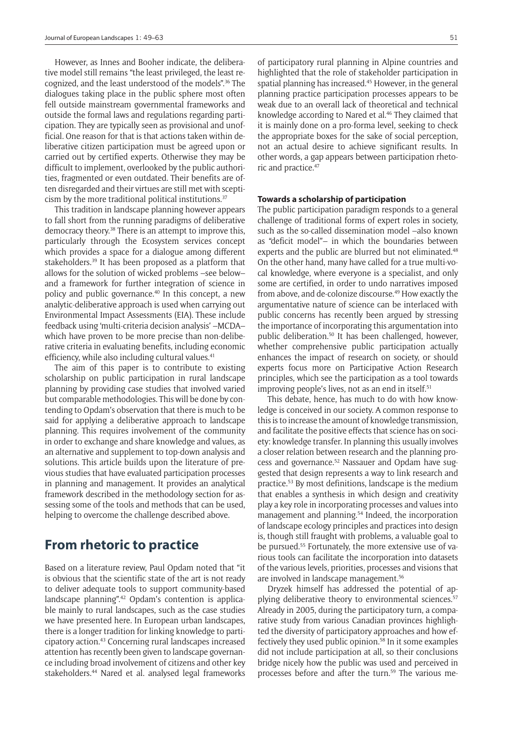However, as Innes and Booher indicate, the deliberative model still remains "the least privileged, the least recognized, and the least understood of the models".36 The dialogues taking place in the public sphere most often fell outside mainstream governmental frameworks and outside the formal laws and regulations regarding participation. They are typically seen as provisional and unofficial. One reason for that is that actions taken within deliberative citizen participation must be agreed upon or carried out by certified experts. Otherwise they may be difficult to implement, overlooked by the public authorities, fragmented or even outdated. Their benefits are often disregarded and their virtues are still met with scepticism by the more traditional political institutions.37

This tradition in landscape planning however appears to fall short from the running paradigms of deliberative democracy theory.38 There is an attempt to improve this, particularly through the Ecosystem services concept which provides a space for a dialogue among different stakeholders.<sup>39</sup> It has been proposed as a platform that allows for the solution of wicked problems –see below– and a framework for further integration of science in policy and public governance.40 In this concept, a new analytic-deliberative approach is used when carrying out Environmental Impact Assessments (EIA). These include feedback using 'multi-criteria decision analysis' –MCDA– which have proven to be more precise than non-deliberative criteria in evaluating benefits, including economic efficiency, while also including cultural values.<sup>41</sup>

The aim of this paper is to contribute to existing scholarship on public participation in rural landscape planning by providing case studies that involved varied but comparable methodologies. This will be done by contending to Opdam's observation that there is much to be said for applying a deliberative approach to landscape planning. This requires involvement of the community in order to exchange and share knowledge and values, as an alternative and supplement to top-down analysis and solutions. This article builds upon the literature of previous studies that have evaluated participation processes in planning and management. It provides an analytical framework described in the methodology section for assessing some of the tools and methods that can be used, helping to overcome the challenge described above.

### **From rhetoric to practice**

Based on a literature review, Paul Opdam noted that "it is obvious that the scientific state of the art is not ready to deliver adequate tools to support community-based landscape planning".42 Opdam's contention is applicable mainly to rural landscapes, such as the case studies we have presented here. In European urban landscapes, there is a longer tradition for linking knowledge to participatory action.43 Concerning rural landscapes increased attention has recently been given to landscape governance including broad involvement of citizens and other key stakeholders.<sup>44</sup> Nared et al. analysed legal frameworks

of participatory rural planning in Alpine countries and highlighted that the role of stakeholder participation in spatial planning has increased.45 However, in the general planning practice participation processes appears to be weak due to an overall lack of theoretical and technical knowledge according to Nared et al.<sup>46</sup> They claimed that it is mainly done on a pro-forma level, seeking to check the appropriate boxes for the sake of social perception, not an actual desire to achieve significant results. In other words, a gap appears between participation rhetoric and practice.47

#### **Towards a scholarship of participation**

The public participation paradigm responds to a general challenge of traditional forms of expert roles in society, such as the so-called dissemination model –also known as "deficit model"– in which the boundaries between experts and the public are blurred but not eliminated.<sup>48</sup> On the other hand, many have called for a true multi-vocal knowledge, where everyone is a specialist, and only some are certified, in order to undo narratives imposed from above, and de-colonize discourse.49 How exactly the argumentative nature of science can be interlaced with public concerns has recently been argued by stressing the importance of incorporating this argumentation into public deliberation.50 It has been challenged, however, whether comprehensive public participation actually enhances the impact of research on society, or should experts focus more on Participative Action Research principles, which see the participation as a tool towards improving people's lives, not as an end in itself.<sup>51</sup>

This debate, hence, has much to do with how knowledge is conceived in our society. A common response to this is to increase the amount of knowledge transmission, and facilitate the positive effects that science has on society: knowledge transfer. In planning this usually involves a closer relation between research and the planning process and governance.52 Nassauer and Opdam have suggested that design represents a way to link research and practice.53 By most definitions, landscape is the medium that enables a synthesis in which design and creativity play a key role in incorporating processes and values into management and planning.54 Indeed, the incorporation of landscape ecology principles and practices into design is, though still fraught with problems, a valuable goal to be pursued.<sup>55</sup> Fortunately, the more extensive use of various tools can facilitate the incorporation into datasets of the various levels, priorities, processes and visions that are involved in landscape management.<sup>56</sup>

Dryzek himself has addressed the potential of applying deliberative theory to environmental sciences.<sup>57</sup> Already in 2005, during the participatory turn, a comparative study from various Canadian provinces highlighted the diversity of participatory approaches and how effectively they used public opinion.58 In it some examples did not include participation at all, so their conclusions bridge nicely how the public was used and perceived in processes before and after the turn.<sup>59</sup> The various me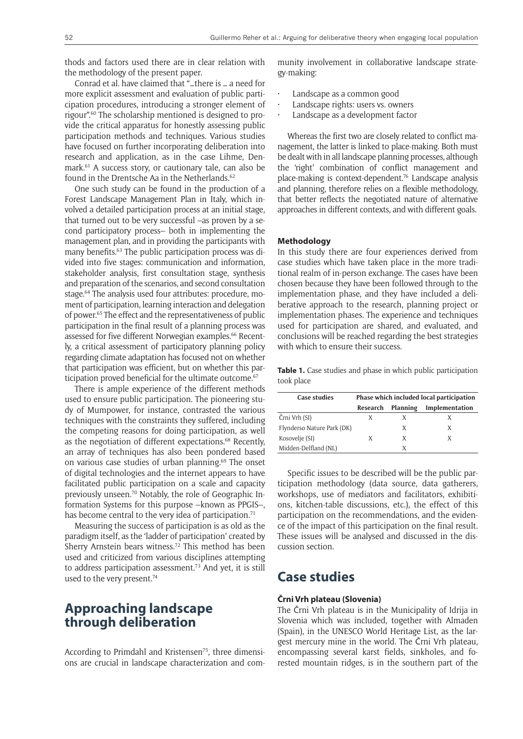thods and factors used there are in clear relation with the methodology of the present paper.

Conrad et al. have claimed that "…there is … a need for more explicit assessment and evaluation of public participation procedures, introducing a stronger element of rigour".60 The scholarship mentioned is designed to provide the critical apparatus for honestly assessing public participation methods and techniques. Various studies have focused on further incorporating deliberation into research and application, as in the case Lihme, Denmark.<sup>61</sup> A success story, or cautionary tale, can also be found in the Drentsche Aa in the Netherlands.<sup>62</sup>

One such study can be found in the production of a Forest Landscape Management Plan in Italy, which involved a detailed participation process at an initial stage, that turned out to be very successful –as proven by a second participatory process– both in implementing the management plan, and in providing the participants with many benefits.63 The public participation process was divided into five stages: communication and information, stakeholder analysis, first consultation stage, synthesis and preparation of the scenarios, and second consultation stage.<sup>64</sup> The analysis used four attributes: procedure, moment of participation, learning interaction and delegation of power.65 The effect and the representativeness of public participation in the final result of a planning process was assessed for five different Norwegian examples.<sup>66</sup> Recently, a critical assessment of participatory planning policy regarding climate adaptation has focused not on whether that participation was efficient, but on whether this participation proved beneficial for the ultimate outcome.<sup>67</sup>

There is ample experience of the different methods used to ensure public participation. The pioneering study of Mumpower, for instance, contrasted the various techniques with the constraints they suffered, including the competing reasons for doing participation, as well as the negotiation of different expectations.<sup>68</sup> Recently, an array of techniques has also been pondered based on various case studies of urban planning.<sup>69</sup> The onset of digital technologies and the internet appears to have facilitated public participation on a scale and capacity previously unseen.70 Notably, the role of Geographic Information Systems for this purpose –known as PPGIS–, has become central to the very idea of participation.<sup>71</sup>

Measuring the success of participation is as old as the paradigm itself, as the 'ladder of participation' created by Sherry Arnstein bears witness.<sup>72</sup> This method has been used and criticized from various disciplines attempting to address participation assessment.73 And yet, it is still used to the very present.<sup>74</sup>

## **Approaching landscape through deliberation**

According to Primdahl and Kristensen<sup>75</sup>, three dimensions are crucial in landscape characterization and community involvement in collaborative landscape strategy-making:

- Landscape as a common good
- Landscape rights: users vs. owners
- Landscape as a development factor

Whereas the first two are closely related to conflict management, the latter is linked to place-making. Both must be dealt with in all landscape planning processes, although the 'right' combination of conflict management and place-making is context-dependent.76 Landscape analysis and planning, therefore relies on a flexible methodology, that better reflects the negotiated nature of alternative approaches in different contexts, and with different goals.

#### **Methodology**

In this study there are four experiences derived from case studies which have taken place in the more traditional realm of in-person exchange. The cases have been chosen because they have been followed through to the implementation phase, and they have included a deliberative approach to the research, planning project or implementation phases. The experience and techniques used for participation are shared, and evaluated, and conclusions will be reached regarding the best strategies with which to ensure their success.

**Table 1.** Case studies and phase in which public participation took place

| <b>Case studies</b>        | Phase which included local participation |          |                |  |
|----------------------------|------------------------------------------|----------|----------------|--|
|                            | Research                                 | Planning | Implementation |  |
| Črni Vrh (SI)              |                                          |          |                |  |
| Flyndersø Nature Park (DK) |                                          | X        | X              |  |
| Kosovelje (SI)             | X                                        | X        | X              |  |
| Midden-Delfland (NL)       |                                          |          |                |  |

Specific issues to be described will be the public participation methodology (data source, data gatherers, workshops, use of mediators and facilitators, exhibitions, kitchen-table discussions, etc.), the effect of this participation on the recommendations, and the evidence of the impact of this participation on the final result. These issues will be analysed and discussed in the discussion section.

### **Case studies**

#### **Črni Vrh plateau (Slovenia)**

The Črni Vrh plateau is in the Municipality of Idrija in Slovenia which was included, together with Almaden (Spain), in the UNESCO World Heritage List, as the largest mercury mine in the world. The Črni Vrh plateau, encompassing several karst fields, sinkholes, and forested mountain ridges, is in the southern part of the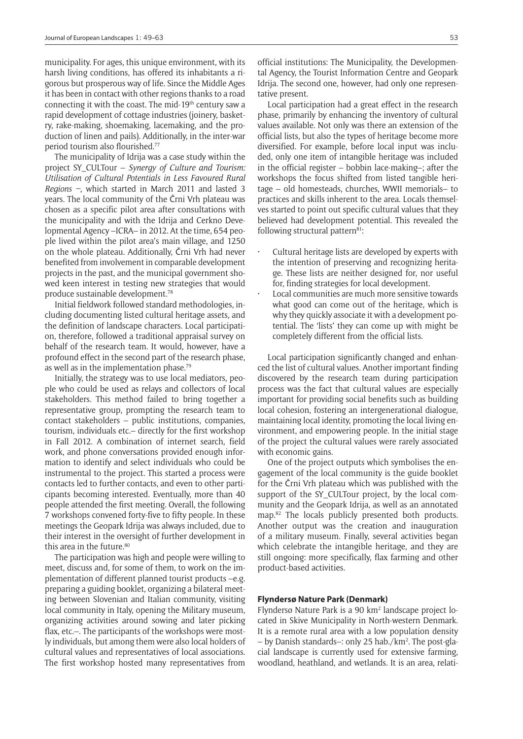municipality. For ages, this unique environment, with its harsh living conditions, has offered its inhabitants a rigorous but prosperous way of life. Since the Middle Ages it has been in contact with other regions thanks to a road connecting it with the coast. The mid-19<sup>th</sup> century saw a rapid development of cottage industries (joinery, basketry, rake-making, shoemaking, lacemaking, and the production of linen and pails). Additionally, in the inter-war period tourism also flourished.77

The municipality of Idrija was a case study within the project SY\_CULTour – *Synergy of Culture and Tourism: Utilisation of Cultural Potentials in Less Favoured Rural Regions –*, which started in March 2011 and lasted 3 years. The local community of the Črni Vrh plateau was chosen as a specific pilot area after consultations with the municipality and with the Idrija and Cerkno Developmental Agency –ICRA– in 2012. At the time, 654 people lived within the pilot area's main village, and 1250 on the whole plateau. Additionally, Črni Vrh had never benefited from involvement in comparable development projects in the past, and the municipal government showed keen interest in testing new strategies that would produce sustainable development.78

Initial fieldwork followed standard methodologies, including documenting listed cultural heritage assets, and the definition of landscape characters. Local participation, therefore, followed a traditional appraisal survey on behalf of the research team. It would, however, have a profound effect in the second part of the research phase, as well as in the implementation phase.79

Initially, the strategy was to use local mediators, people who could be used as relays and collectors of local stakeholders. This method failed to bring together a representative group, prompting the research team to contact stakeholders – public institutions, companies, tourism, individuals etc.– directly for the first workshop in Fall 2012. A combination of internet search, field work, and phone conversations provided enough information to identify and select individuals who could be instrumental to the project. This started a process were contacts led to further contacts, and even to other participants becoming interested. Eventually, more than 40 people attended the first meeting. Overall, the following 7 workshops convened forty-five to fifty people. In these meetings the Geopark Idrija was always included, due to their interest in the oversight of further development in this area in the future.<sup>80</sup>

The participation was high and people were willing to meet, discuss and, for some of them, to work on the implementation of different planned tourist products –e.g. preparing a guiding booklet, organizing a bilateral meeting between Slovenian and Italian community, visiting local community in Italy, opening the Military museum, organizing activities around sowing and later picking flax, etc.-. The participants of the workshops were mostly individuals, but among them were also local holders of cultural values and representatives of local associations. The first workshop hosted many representatives from official institutions: The Municipality, the Developmental Agency, the Tourist Information Centre and Geopark Idrija. The second one, however, had only one representative present.

Local participation had a great effect in the research phase, primarily by enhancing the inventory of cultural values available. Not only was there an extension of the official lists, but also the types of heritage become more diversified. For example, before local input was included, only one item of intangible heritage was included in the official register – bobbin lace-making–; after the workshops the focus shifted from listed tangible heritage – old homesteads, churches, WWII memorials– to practices and skills inherent to the area. Locals themselves started to point out specific cultural values that they believed had development potential. This revealed the following structural pattern $81$ :

- Cultural heritage lists are developed by experts with the intention of preserving and recognizing heritage. These lists are neither designed for, nor useful for, finding strategies for local development.
- Local communities are much more sensitive towards what good can come out of the heritage, which is why they quickly associate it with a development potential. The 'lists' they can come up with might be completely different from the official lists.

Local participation significantly changed and enhanced the list of cultural values. Another important finding discovered by the research team during participation process was the fact that cultural values are especially important for providing social benefits such as building local cohesion, fostering an intergenerational dialogue, maintaining local identity, promoting the local living environment, and empowering people. In the initial stage of the project the cultural values were rarely associated with economic gains.

One of the project outputs which symbolises the engagement of the local community is the guide booklet for the Črni Vrh plateau which was published with the support of the SY\_CULTour project, by the local community and the Geopark Idrija, as well as an annotated map.<sup>82</sup> The locals publicly presented both products. Another output was the creation and inauguration of a military museum. Finally, several activities began which celebrate the intangible heritage, and they are still ongoing: more specifically, flax farming and other product-based activities.

#### **Flyndersø Nature Park (Denmark)**

Flyndersø Nature Park is a 90 km<sup>2</sup> landscape project located in Skive Municipality in North-western Denmark. It is a remote rural area with a low population density – by Danish standards–: only 25 hab./km2 . The post-glacial landscape is currently used for extensive farming, woodland, heathland, and wetlands. It is an area, relati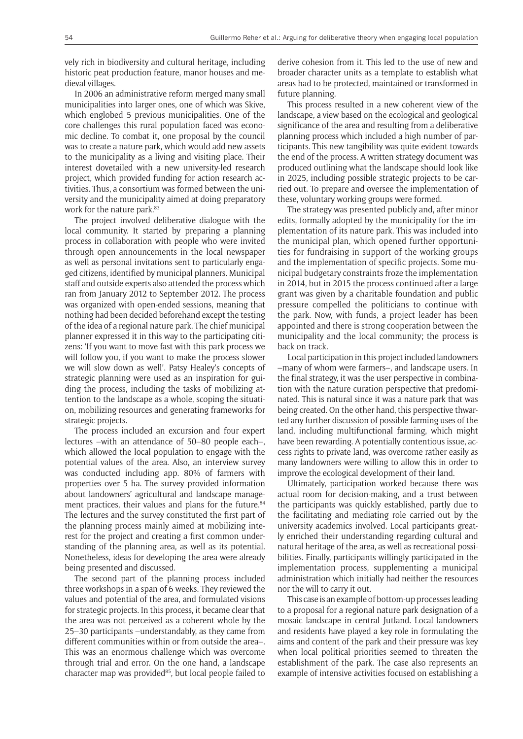vely rich in biodiversity and cultural heritage, including historic peat production feature, manor houses and medieval villages.

In 2006 an administrative reform merged many small municipalities into larger ones, one of which was Skive, which englobed 5 previous municipalities. One of the core challenges this rural population faced was economic decline. To combat it, one proposal by the council was to create a nature park, which would add new assets to the municipality as a living and visiting place. Their interest dovetailed with a new university-led research project, which provided funding for action research activities. Thus, a consortium was formed between the university and the municipality aimed at doing preparatory work for the nature park.<sup>83</sup>

The project involved deliberative dialogue with the local community. It started by preparing a planning process in collaboration with people who were invited through open announcements in the local newspaper as well as personal invitations sent to particularly engaged citizens, identified by municipal planners. Municipal staff and outside experts also attended the process which ran from January 2012 to September 2012. The process was organized with open-ended sessions, meaning that nothing had been decided beforehand except the testing of the idea of a regional nature park. The chief municipal planner expressed it in this way to the participating citizens: 'If you want to move fast with this park process we will follow you, if you want to make the process slower we will slow down as well'. Patsy Healey's concepts of strategic planning were used as an inspiration for guiding the process, including the tasks of mobilizing attention to the landscape as a whole, scoping the situation, mobilizing resources and generating frameworks for strategic projects.

The process included an excursion and four expert lectures –with an attendance of 50–80 people each–, which allowed the local population to engage with the potential values of the area. Also, an interview survey was conducted including app. 80% of farmers with properties over 5 ha. The survey provided information about landowners' agricultural and landscape management practices, their values and plans for the future.<sup>84</sup> The lectures and the survey constituted the first part of the planning process mainly aimed at mobilizing interest for the project and creating a first common understanding of the planning area, as well as its potential. Nonetheless, ideas for developing the area were already being presented and discussed.

The second part of the planning process included three workshops in a span of 6 weeks. They reviewed the values and potential of the area, and formulated visions for strategic projects. In this process, it became clear that the area was not perceived as a coherent whole by the 25–30 participants –understandably, as they came from different communities within or from outside the area–. This was an enormous challenge which was overcome through trial and error. On the one hand, a landscape character map was provided<sup>85</sup>, but local people failed to

derive cohesion from it. This led to the use of new and broader character units as a template to establish what areas had to be protected, maintained or transformed in future planning.

This process resulted in a new coherent view of the landscape, a view based on the ecological and geological significance of the area and resulting from a deliberative planning process which included a high number of participants. This new tangibility was quite evident towards the end of the process. A written strategy document was produced outlining what the landscape should look like in 2025, including possible strategic projects to be carried out. To prepare and oversee the implementation of these, voluntary working groups were formed.

The strategy was presented publicly and, after minor edits, formally adopted by the municipality for the implementation of its nature park. This was included into the municipal plan, which opened further opportunities for fundraising in support of the working groups and the implementation of specific projects. Some municipal budgetary constraints froze the implementation in 2014, but in 2015 the process continued after a large grant was given by a charitable foundation and public pressure compelled the politicians to continue with the park. Now, with funds, a project leader has been appointed and there is strong cooperation between the municipality and the local community; the process is back on track.

Local participation in this project included landowners –many of whom were farmers–, and landscape users. In the final strategy, it was the user perspective in combination with the nature curation perspective that predominated. This is natural since it was a nature park that was being created. On the other hand, this perspective thwarted any further discussion of possible farming uses of the land, including multifunctional farming, which might have been rewarding. A potentially contentious issue, access rights to private land, was overcome rather easily as many landowners were willing to allow this in order to improve the ecological development of their land.

Ultimately, participation worked because there was actual room for decision-making, and a trust between the participants was quickly established, partly due to the facilitating and mediating role carried out by the university academics involved. Local participants greatly enriched their understanding regarding cultural and natural heritage of the area, as well as recreational possibilities. Finally, participants willingly participated in the implementation process, supplementing a municipal administration which initially had neither the resources nor the will to carry it out.

This case is an example of bottom-up processes leading to a proposal for a regional nature park designation of a mosaic landscape in central Jutland. Local landowners and residents have played a key role in formulating the aims and content of the park and their pressure was key when local political priorities seemed to threaten the establishment of the park. The case also represents an example of intensive activities focused on establishing a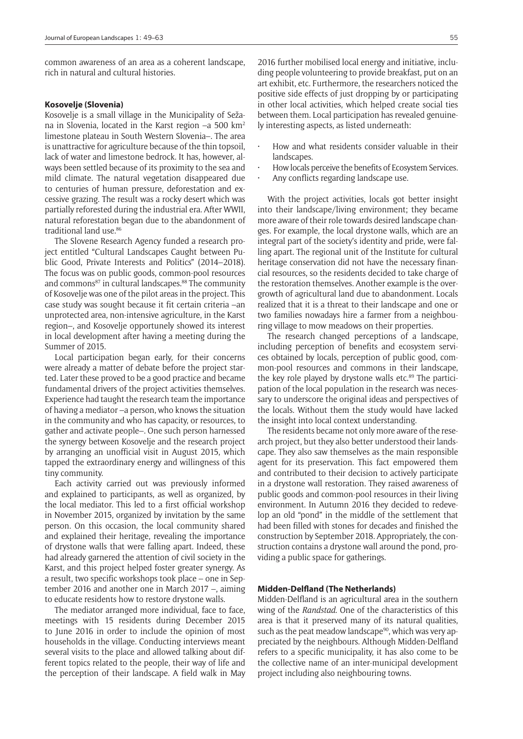common awareness of an area as a coherent landscape, rich in natural and cultural histories.

#### **Kosovelje (Slovenia)**

Kosovelje is a small village in the Municipality of Sežana in Slovenia, located in the Karst region –a 500 km2 limestone plateau in South Western Slovenia–. The area is unattractive for agriculture because of the thin topsoil, lack of water and limestone bedrock. It has, however, always been settled because of its proximity to the sea and mild climate. The natural vegetation disappeared due to centuries of human pressure, deforestation and excessive grazing. The result was a rocky desert which was partially reforested during the industrial era. After WWII, natural reforestation began due to the abandonment of traditional land use.<sup>86</sup>

The Slovene Research Agency funded a research project entitled "Cultural Landscapes Caught between Public Good, Private Interests and Politics" (2014–2018). The focus was on public goods, common-pool resources and commons<sup>87</sup> in cultural landscapes.<sup>88</sup> The community of Kosovelje was one of the pilot areas in the project. This case study was sought because it fit certain criteria –an unprotected area, non-intensive agriculture, in the Karst region–, and Kosovelje opportunely showed its interest in local development after having a meeting during the Summer of 2015.

Local participation began early, for their concerns were already a matter of debate before the project started. Later these proved to be a good practice and became fundamental drivers of the project activities themselves. Experience had taught the research team the importance of having a mediator –a person, who knows the situation in the community and who has capacity, or resources, to gather and activate people–. One such person harnessed the synergy between Kosovelje and the research project by arranging an unofficial visit in August 2015, which tapped the extraordinary energy and willingness of this tiny community.

Each activity carried out was previously informed and explained to participants, as well as organized, by the local mediator. This led to a first official workshop in November 2015, organized by invitation by the same person. On this occasion, the local community shared and explained their heritage, revealing the importance of drystone walls that were falling apart. Indeed, these had already garnered the attention of civil society in the Karst, and this project helped foster greater synergy. As a result, two specific workshops took place – one in September 2016 and another one in March 2017 –, aiming to educate residents how to restore drystone walls.

The mediator arranged more individual, face to face, meetings with 15 residents during December 2015 to June 2016 in order to include the opinion of most households in the village. Conducting interviews meant several visits to the place and allowed talking about different topics related to the people, their way of life and the perception of their landscape. A field walk in May

2016 further mobilised local energy and initiative, including people volunteering to provide breakfast, put on an art exhibit, etc. Furthermore, the researchers noticed the positive side effects of just dropping by or participating in other local activities, which helped create social ties between them. Local participation has revealed genuinely interesting aspects, as listed underneath:

- How and what residents consider valuable in their landscapes.
- How locals perceive the benefits of Ecosystem Services.
- Any conflicts regarding landscape use.

With the project activities, locals got better insight into their landscape/living environment; they became more aware of their role towards desired landscape changes. For example, the local drystone walls, which are an integral part of the society's identity and pride, were falling apart. The regional unit of the Institute for cultural heritage conservation did not have the necessary financial resources, so the residents decided to take charge of the restoration themselves. Another example is the overgrowth of agricultural land due to abandonment. Locals realized that it is a threat to their landscape and one or two families nowadays hire a farmer from a neighbouring village to mow meadows on their properties.

The research changed perceptions of a landscape, including perception of benefits and ecosystem services obtained by locals, perception of public good, common-pool resources and commons in their landscape, the key role played by drystone walls etc. $89$  The participation of the local population in the research was necessary to underscore the original ideas and perspectives of the locals. Without them the study would have lacked the insight into local context understanding.

The residents became not only more aware of the research project, but they also better understood their landscape. They also saw themselves as the main responsible agent for its preservation. This fact empowered them and contributed to their decision to actively participate in a drystone wall restoration. They raised awareness of public goods and common-pool resources in their living environment. In Autumn 2016 they decided to redevelop an old "pond" in the middle of the settlement that had been filled with stones for decades and finished the construction by September 2018. Appropriately, the construction contains a drystone wall around the pond, providing a public space for gatherings.

#### **Midden-Delfland (The Netherlands)**

Midden-Delfland is an agricultural area in the southern wing of the *Randstad*. One of the characteristics of this area is that it preserved many of its natural qualities, such as the peat meadow landscape<sup>90</sup>, which was very appreciated by the neighbours. Although Midden-Delfland refers to a specific municipality, it has also come to be the collective name of an inter-municipal development project including also neighbouring towns.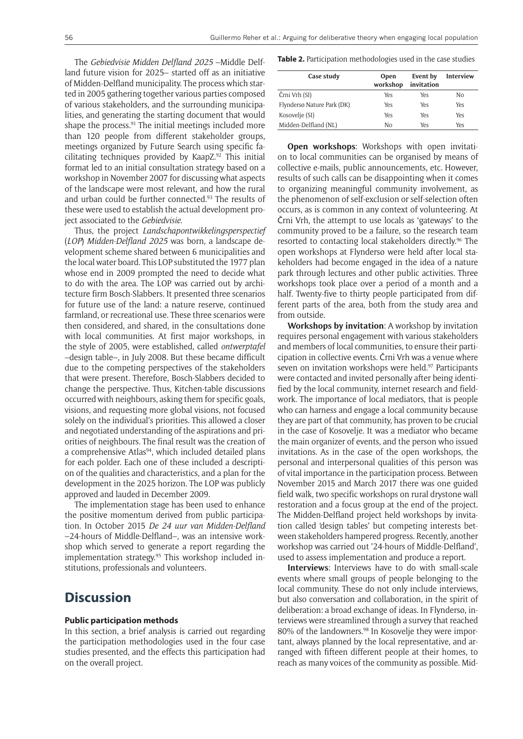The *Gebiedvisie Midden Delfland 2025* –Middle Delfland future vision for 2025– started off as an initiative of Midden-Delfland municipality. The process which started in 2005 gathering together various parties composed of various stakeholders, and the surrounding municipalities, and generating the starting document that would shape the process.<sup>91</sup> The initial meetings included more than 120 people from different stakeholder groups, meetings organized by Future Search using specific facilitating techniques provided by Kaap $Z^{92}$  This initial format led to an initial consultation strategy based on a workshop in November 2007 for discussing what aspects of the landscape were most relevant, and how the rural and urban could be further connected.93 The results of these were used to establish the actual development project associated to the *Gebiedvisie*.

Thus, the project *Landschapontwikkelingsperspectief*  (*LOP*) *Midden-Delfland 2025* was born, a landscape development scheme shared between 6 municipalities and the local water board. This LOP substituted the 1977 plan whose end in 2009 prompted the need to decide what to do with the area. The LOP was carried out by architecture firm Bosch-Slabbers. It presented three scenarios for future use of the land: a nature reserve, continued farmland, or recreational use. These three scenarios were then considered, and shared, in the consultations done with local communities. At first major workshops, in the style of 2005, were established, called *ontwerptafel* –design table–, in July 2008. But these became difficult due to the competing perspectives of the stakeholders that were present. Therefore, Bosch-Slabbers decided to change the perspective. Thus, Kitchen-table discussions occurred with neighbours, asking them for specific goals, visions, and requesting more global visions, not focused solely on the individual's priorities. This allowed a closer and negotiated understanding of the aspirations and priorities of neighbours. The final result was the creation of a comprehensive Atlas<sup>94</sup>, which included detailed plans for each polder. Each one of these included a description of the qualities and characteristics, and a plan for the development in the 2025 horizon. The LOP was publicly approved and lauded in December 2009.

The implementation stage has been used to enhance the positive momentum derived from public participation. In October 2015 *De 24 uur van Midden-Delfland* –24-hours of Middle-Delfland–, was an intensive workshop which served to generate a report regarding the implementation strategy.<sup>95</sup> This workshop included institutions, professionals and volunteers.

### **Discussion**

#### **Public participation methods**

In this section, a brief analysis is carried out regarding the participation methodologies used in the four case studies presented, and the effects this participation had on the overall project.

**Table 2.** Participation methodologies used in the case studies

| Case study                 | Open<br>workshop | Event by<br>invitation | <b>Interview</b> |
|----------------------------|------------------|------------------------|------------------|
| Črni Vrh (SI)              | Yes              | Yes                    | No               |
| Flyndersø Nature Park (DK) | Yes              | Yes                    | Yes              |
| Kosovelje (SI)             | Yes              | Yes                    | Yes              |
| Midden-Delfland (NL)       | No               | Yes                    | Yes              |

**Open workshops**: Workshops with open invitation to local communities can be organised by means of collective e-mails, public announcements, etc. However, results of such calls can be disappointing when it comes to organizing meaningful community involvement, as the phenomenon of self-exclusion or self-selection often occurs, as is common in any context of volunteering. At Črni Vrh, the attempt to use locals as 'gateways' to the community proved to be a failure, so the research team resorted to contacting local stakeholders directly.<sup>96</sup> The open workshops at Flyndersø were held after local stakeholders had become engaged in the idea of a nature park through lectures and other public activities. Three workshops took place over a period of a month and a half. Twenty-five to thirty people participated from different parts of the area, both from the study area and from outside.

**Workshops by invitation**: A workshop by invitation requires personal engagement with various stakeholders and members of local communities, to ensure their participation in collective events. Črni Vrh was a venue where seven on invitation workshops were held.<sup>97</sup> Participants were contacted and invited personally after being identified by the local community, internet research and fieldwork. The importance of local mediators, that is people who can harness and engage a local community because they are part of that community, has proven to be crucial in the case of Kosovelje. It was a mediator who became the main organizer of events, and the person who issued invitations. As in the case of the open workshops, the personal and interpersonal qualities of this person was of vital importance in the participation process. Between November 2015 and March 2017 there was one guided field walk, two specific workshops on rural drystone wall restoration and a focus group at the end of the project. The Midden-Delfland project held workshops by invitation called 'design tables' but competing interests between stakeholders hampered progress. Recently, another workshop was carried out '24-hours of Middle-Delfland', used to assess implementation and produce a report.

**Interviews**: Interviews have to do with small-scale events where small groups of people belonging to the local community. These do not only include interviews, but also conversation and collaboration, in the spirit of deliberation: a broad exchange of ideas. In Flyndersø, interviews were streamlined through a survey that reached 80% of the landowners.<sup>98</sup> In Kosovelje they were important, always planned by the local representative, and arranged with fifteen different people at their homes, to reach as many voices of the community as possible. Mid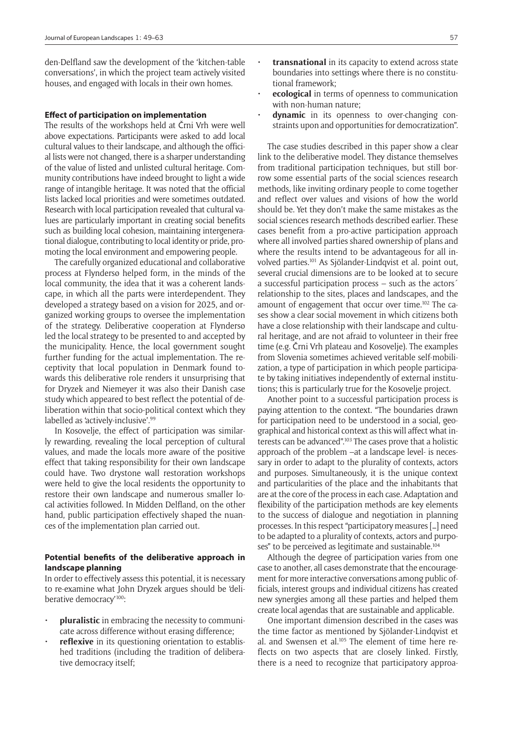den-Delfland saw the development of the 'kitchen-table conversations', in which the project team actively visited houses, and engaged with locals in their own homes.

#### **Effect of participation on implementation**

The results of the workshops held at Črni Vrh were well above expectations. Participants were asked to add local cultural values to their landscape, and although the official lists were not changed, there is a sharper understanding of the value of listed and unlisted cultural heritage. Community contributions have indeed brought to light a wide range of intangible heritage. It was noted that the official lists lacked local priorities and were sometimes outdated. Research with local participation revealed that cultural values are particularly important in creating social benefits such as building local cohesion, maintaining intergenerational dialogue, contributing to local identity or pride, promoting the local environment and empowering people.

The carefully organized educational and collaborative process at Flyndersø helped form, in the minds of the local community, the idea that it was a coherent landscape, in which all the parts were interdependent. They developed a strategy based on a vision for 2025, and organized working groups to oversee the implementation of the strategy. Deliberative cooperation at Flyndersø led the local strategy to be presented to and accepted by the municipality. Hence, the local government sought further funding for the actual implementation. The receptivity that local population in Denmark found towards this deliberative role renders it unsurprising that for Dryzek and Niemeyer it was also their Danish case study which appeared to best reflect the potential of deliberation within that socio-political context which they labelled as 'actively-inclusive'.99

In Kosovelje, the effect of participation was similarly rewarding, revealing the local perception of cultural values, and made the locals more aware of the positive effect that taking responsibility for their own landscape could have. Two drystone wall restoration workshops were held to give the local residents the opportunity to restore their own landscape and numerous smaller local activities followed. In Midden Delfland, on the other hand, public participation effectively shaped the nuances of the implementation plan carried out.

#### **Potential benefits of the deliberative approach in landscape planning**

In order to effectively assess this potential, it is necessary to re-examine what John Dryzek argues should be 'deliberative democracy'<sup>100</sup>:

- **• pluralistic** in embracing the necessity to communicate across difference without erasing difference;
- **• reflexive** in its questioning orientation to established traditions (including the tradition of deliberative democracy itself;
- **• transnational** in its capacity to extend across state boundaries into settings where there is no constitutional framework;
- **• ecological** in terms of openness to communication with non-human nature;
- **dynamic** in its openness to over-changing constraints upon and opportunities for democratization".

The case studies described in this paper show a clear link to the deliberative model. They distance themselves from traditional participation techniques, but still borrow some essential parts of the social sciences research methods, like inviting ordinary people to come together and reflect over values and visions of how the world should be. Yet they don't make the same mistakes as the social sciences research methods described earlier. These cases benefit from a pro-active participation approach where all involved parties shared ownership of plans and where the results intend to be advantageous for all involved parties.101 As Sjölander-Lindqvist et al. point out, several crucial dimensions are to be looked at to secure a successful participation process – such as the actors´ relationship to the sites, places and landscapes, and the amount of engagement that occur over time.102 The cases show a clear social movement in which citizens both have a close relationship with their landscape and cultural heritage, and are not afraid to volunteer in their free time (e.g. Črni Vrh plateau and Kosovelje). The examples from Slovenia sometimes achieved veritable self-mobilization, a type of participation in which people participate by taking initiatives independently of external institutions; this is particularly true for the Kosovelje project.

Another point to a successful participation process is paying attention to the context. "The boundaries drawn for participation need to be understood in a social, geographical and historical context as this will affect what interests can be advanced".103 The cases prove that a holistic approach of the problem –at a landscape level- is necessary in order to adapt to the plurality of contexts, actors and purposes. Simultaneously, it is the unique context and particularities of the place and the inhabitants that are at the core of the process in each case. Adaptation and flexibility of the participation methods are key elements to the success of dialogue and negotiation in planning processes. In this respect "participatory measures […] need to be adapted to a plurality of contexts, actors and purposes" to be perceived as legitimate and sustainable.<sup>104</sup>

Although the degree of participation varies from one case to another, all cases demonstrate that the encouragement for more interactive conversations among public officials, interest groups and individual citizens has created new synergies among all these parties and helped them create local agendas that are sustainable and applicable.

One important dimension described in the cases was the time factor as mentioned by Sjölander-Lindqvist et al. and Swensen et al.<sup>105</sup> The element of time here reflects on two aspects that are closely linked. Firstly, there is a need to recognize that participatory approa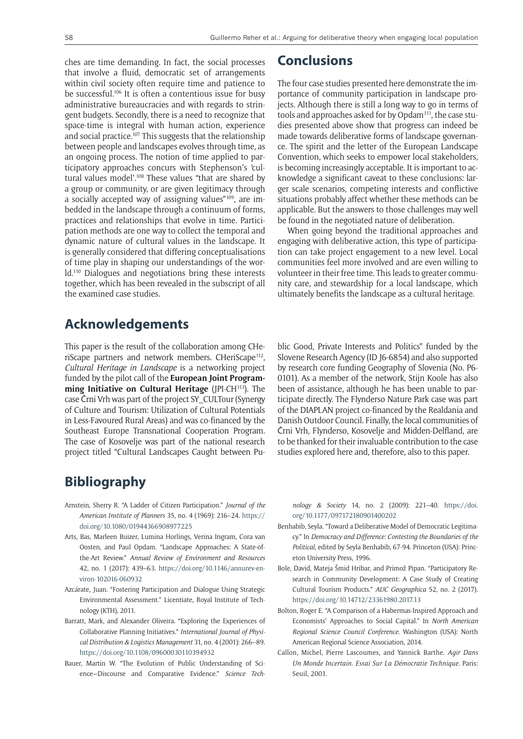ches are time demanding. In fact, the social processes that involve a fluid, democratic set of arrangements within civil society often require time and patience to be successful.106 It is often a contentious issue for busy administrative bureaucracies and with regards to stringent budgets. Secondly, there is a need to recognize that space-time is integral with human action, experience and social practice.107 This suggests that the relationship between people and landscapes evolves through time, as an ongoing process. The notion of time applied to participatory approaches concurs with Stephenson's 'cultural values model'.<sup>108</sup> These values "that are shared by a group or community, or are given legitimacy through a socially accepted way of assigning values"109, are imbedded in the landscape through a continuum of forms, practices and relationships that evolve in time. Participation methods are one way to collect the temporal and dynamic nature of cultural values in the landscape. It is generally considered that differing conceptualisations of time play in shaping our understandings of the world.110 Dialogues and negotiations bring these interests together, which has been revealed in the subscript of all the examined case studies.

## **Conclusions**

The four case studies presented here demonstrate the importance of community participation in landscape projects. Although there is still a long way to go in terms of tools and approaches asked for by Opdam<sup>111</sup>, the case studies presented above show that progress can indeed be made towards deliberative forms of landscape governance. The spirit and the letter of the European Landscape Convention, which seeks to empower local stakeholders, is becoming increasingly acceptable. It is important to acknowledge a significant caveat to these conclusions: larger scale scenarios, competing interests and conflictive situations probably affect whether these methods can be applicable. But the answers to those challenges may well be found in the negotiated nature of deliberation.

When going beyond the traditional approaches and engaging with deliberative action, this type of participation can take project engagement to a new level. Local communities feel more involved and are even willing to volunteer in their free time. This leads to greater community care, and stewardship for a local landscape, which ultimately benefits the landscape as a cultural heritage.

## **Acknowledgements**

This paper is the result of the collaboration among CHeriScape partners and network members. CHeriScape<sup>112</sup>, *Cultural Heritage in Landscape* is a networking project funded by the pilot call of the **European Joint Programming Initiative on Cultural Heritage** (JPI-CH113). The case Črni Vrh was part of the project SY\_CULTour (Synergy of Culture and Tourism: Utilization of Cultural Potentials in Less-Favoured Rural Areas) and was co-financed by the Southeast Europe Transnational Cooperation Program. The case of Kosovelje was part of the national research project titled "Cultural Landscapes Caught between Public Good, Private Interests and Politics" funded by the Slovene Research Agency (ID J6-6854) and also supported by research core funding Geography of Slovenia (No. P6- 0101). As a member of the network, Stijn Koole has also been of assistance, although he has been unable to participate directly. The Flyndersø Nature Park case was part of the DIAPLAN project co-financed by the Realdania and Danish Outdoor Council. Finally, the local communities of Črni Vrh, Flyndersø, Kosovelje and Midden-Delfland, are to be thanked for their invaluable contribution to the case studies explored here and, therefore, also to this paper.

# **Bibliography**

- Arnstein, Sherry R. "A Ladder of Citizen Participation." *Journal of the American Institute of Planners* 35, no. 4 (1969): 216–24. [https://](https://doi.org/10.1080/01944366908977225) [doi.org/10.1080/01944366908977225](https://doi.org/10.1080/01944366908977225)
- Arts, Bas, Marleen Buizer, Lumina Horlings, Verina Ingram, Cora van Oosten, and Paul Opdam. "Landscape Approaches: A State-ofthe-Art Review." *Annual Review of Environment and Resources*  42, no. 1 (2017): 439–63. [https://doi.org/10.1146/annurev-en](https://doi.org/10.1146/annurev-environ-102016-060932)[viron-102016-060932](https://doi.org/10.1146/annurev-environ-102016-060932)
- Azcárate, Juan. "Fostering Participation and Dialogue Using Strategic Environmental Assessment." Licentiate, Royal Institute of Technology (KTH), 2011.
- Barratt, Mark, and Alexander Oliveira. "Exploring the Experiences of Collaborative Planning Initiatives." *International Journal of Physical Distribution & Logistics Management* 31, no. 4 (2001): 266–89. <https://doi.org/10.1108/09600030110394932>
- Bauer, Martin W. "The Evolution of Public Understanding of Science—Discourse and Comparative Evidence." *Science Tech-*

*nology & Society* 14, no. 2 (2009): 221–40. [https://doi.](https://doi.org/10.1177/097172180901400202) [org/10.1177/097172180901400202](https://doi.org/10.1177/097172180901400202)

- Benhabib, Seyla. "Toward a Deliberative Model of Democratic Legitimacy." In *Democracy and Difference: Contesting the Boundaries of the Political*, edited by Seyla Benhabib, 67-94. Princeton (USA): Princeton University Press, 1996.
- Bole, David, Mateja Šmid Hribar, and Primož Pipan. "Participatory Research in Community Development: A Case Study of Creating Cultural Tourism Products." *AUC Geographica* 52, no. 2 (2017). <https://doi.org/10.14712/23361980.2017.13>
- Bolton, Roger E. "A Comparison of a Habermas-Inspired Approach and Economists' Approaches to Social Capital." In *North American Regional Science Council Conference*. Washington (USA): North American Regional Science Association, 2014.
- Callon, Michel, Pierre Lascoumes, and Yannick Barthe. *Agir Dans Un Monde Incertain. Essai Sur La Démocratie Technique.* Paris: Seuil, 2001.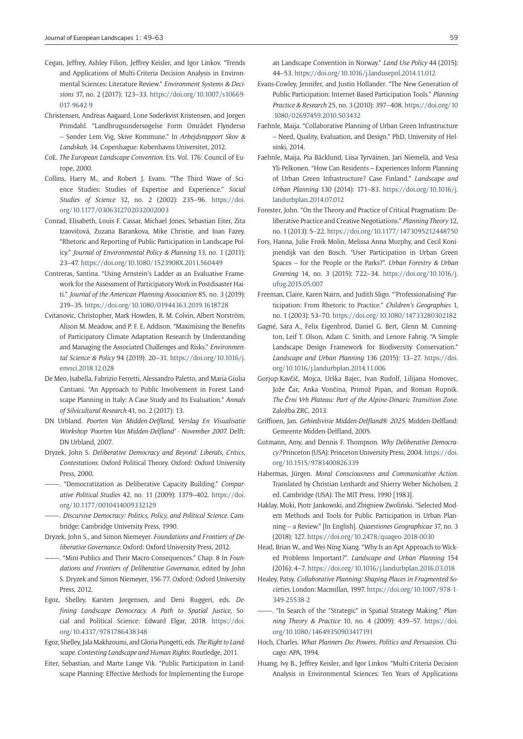- Cegan, Jeffrey, Ashley Filion, Jeffrey Keisler, and Igor Linkov. "Trends and Applications of Multi-Criteria Decision Analysis in Environmental Sciences: Literature Review." *Environment Systems & Decisions* 37, no. 2 (2017): 123–33. [https://doi.org/10.1007/s10669-](https://doi.org/10.1007/s10669-017-9642-9) [017-9642-9](https://doi.org/10.1007/s10669-017-9642-9)
- Christensen, Andreas Aagaard, Lone Søderkvist Kristensen, and Jørgen Primdahl. "Landbrugsundersøgelse Form Området Flyndersø – Sønder Lem Vig, Skive Kommune." In *Arbejdsrapport Skov & Landskab*, 34. Copenhague: Københavns Universitet, 2012.
- CoE. *The European Landscape Convention.* Ets. Vol. 176: Council of Europe, 2000.
- Collins, Harry M., and Robert J. Evans. "The Third Wave of Science Studies: Studies of Expertise and Experience." *Social Studies of Science* 32, no. 2 (2002): 235–96. [https://doi.](https://doi.org/10.1177/0306312702032002003) [org/10.1177/0306312702032002003](https://doi.org/10.1177/0306312702032002003)
- Conrad, Elisabeth, Louis F. Cassar, Michael Jones, Sebastian Eiter, Zita Izaovičová, Zuzana Barankova, Mike Christie, and Ioan Fazey. "Rhetoric and Reporting of Public Participation in Landscape Policy." *Journal of Environmental Policy & Planning* 13, no. 1 (2011): 23–47.<https://doi.org/10.1080/1523908X.2011.560449>
- Contreras, Santina. "Using Arnstein's Ladder as an Evaluative Framework for the Assessment of Participatory Work in Postdisaster Haiti." *Journal of the American Planning Association* 85, no. 3 (2019): 219–35.<https://doi.org/10.1080/01944363.2019.1618728>
- Cvitanovic, Christopher, Mark Howden, R. M. Colvin, Albert Norström, Alison M. Meadow, and P. F. E. Addison. "Maximising the Benefits of Participatory Climate Adaptation Research by Understanding and Managing the Associated Challenges and Risks." *Environmental Science & Policy* 94 (2019): 20–31. [https://doi.org/10.1016/j.](https://doi.org/10.1016/j.envsci.2018.12.028) [envsci.2018.12.028](https://doi.org/10.1016/j.envsci.2018.12.028)
- De Meo, Isabella, Fabrizio Ferretti, Alessandro Paletto, and Maria Giulia Cantiani. "An Approach to Public Involvement in Forest Landscape Planning in Italy: A Case Study and Its Evaluation." *Annals of Silvicultural Research* 41, no. 2 (2017): 13.
- DN Urbland. *Poorten Van Midden-Delfland, Verslag En Visualisatie Workshop 'Poorten Van Midden-Delfland' - November 2007.* Delft: DN Urbland, 2007.
- Dryzek, John S. *Deliberative Democracy and Beyond: Liberals, Critics, Contestations.* Oxford Political Theory. Oxford: Oxford University Press, 2000.
- -. "Democratization as Deliberative Capacity Building." Compar*ative Political Studies* 42, no. 11 (2009): 1379–402. [https://doi.](https://doi.org/10.1177/0010414009332129) [org/10.1177/0010414009332129](https://doi.org/10.1177/0010414009332129)
- ———. *Discursive Democracy: Politics, Policy, and Political Science.* Cambridge: Cambridge University Press, 1990.
- Dryzek, John S., and Simon Niemeyer. *Foundations and Frontiers of Deliberative Governance.* Oxford: Oxford University Press, 2012.
- $-$ . "Mini-Publics and Their Macro Consequences." Chap. 8 In *Foundations and Frontiers of Deliberative Governance*, edited by John S. Dryzek and Simon Niemeyer, 156-77. Oxford: Oxford University Press, 2012.
- Egoz, Shelley, Karsten Jørgensen, and Deni Ruggeri, eds. *Defining Landscape Democracy. A Path to Spatial Justice*, Social and Political Science: Edward Elgar, 2018. [https://doi.](https://doi.org/10.4337/9781786438348) [org/10.4337/9781786438348](https://doi.org/10.4337/9781786438348)
- Egoz, Shelley, Jala Makhzoumi, and Gloria Pungetti, eds. *The Right to Landscape. Contesting Landscape and Human Rights*: Routledge, 2011.
- Eiter, Sebastian, and Marte Lange Vik. "Public Participation in Landscape Planning: Effective Methods for Implementing the Europe-

an Landscape Convention in Norway." *Land Use Policy* 44 (2015): 44–53.<https://doi.org/10.1016/j.landusepol.2014.11.012>

- Evans-Cowley, Jennifer, and Justin Hollander. "The New Generation of Public Participation: Internet-Based Participation Tools." *Planning Practice & Research* 25, no. 3 (2010): 397–408. [https://doi.org/10](https://doi.org/10.1080/02697459.2010.503432) [.1080/02697459.2010.503432](https://doi.org/10.1080/02697459.2010.503432)
- Faehnle, Maija. "Collaborative Planning of Urban Green Infrastructure – Need, Quality, Evaluation, and Design." PhD, University of Helsinki, 2014.
- Faehnle, Maija, Pia Bäcklund, Liisa Tyrväinen, Jari Niemelä, and Vesa Yli-Pelkonen. "How Can Residents – Experiences Inform Planning of Urban Green Infrastructure? Case Finland." *Landscape and Urban Planning* 130 (2014): 171–83. [https://doi.org/10.1016/j.](https://doi.org/10.1016/j.landurbplan.2014.07.012) [landurbplan.2014.07.012](https://doi.org/10.1016/j.landurbplan.2014.07.012)
- Forester, John. "On the Theory and Practice of Critical Pragmatism: Deliberative Practice and Creative Negotiations." *Planning Theory* 12, no. 1 (2013): 5–22.<https://doi.org/10.1177/1473095212448750>
- Fors, Hanna, Julie Frøik Molin, Melissa Anna Murphy, and Cecil Konijnendijk van den Bosch. "User Participation in Urban Green Spaces – for the People or the Parks?". *Urban Forestry & Urban Greening* 14, no. 3 (2015): 722–34. [https://doi.org/10.1016/j.](https://doi.org/10.1016/j.ufug.2015.05.007) [ufug.2015.05.007](https://doi.org/10.1016/j.ufug.2015.05.007)
- Freeman, Claire, Karen Nairn, and Judith Sligo. "'Professionalising' Participation: From Rhetoric to Practice." *Children's Geographies* 1, no. 1 (2003): 53–70. <https://doi.org/10.1080/14733280302182>
- Gagné, Sara A., Felix Eigenbrod, Daniel G. Bert, Glenn M. Cunnington, Leif T. Olson, Adam C. Smith, and Lenore Fahrig. "A Simple Landscape Design Framework for Biodiversity Conservation." *Landscape and Urban Planning* 136 (2015): 13–27. [https://doi.](https://doi.org/10.1016/j.landurbplan.2014.11.006) [org/10.1016/j.landurbplan.2014.11.006](https://doi.org/10.1016/j.landurbplan.2014.11.006)
- Gorjup-Kavčič, Mojca, Urška Bajec, Ivan Rudolf, Lilijana Homovec, Jože Čar, Anka Vončina, Primož Pipan, and Roman Rupnik. *The Črni Vrh Plateau: Part of the Alpine-Dinaric Transition Zone.* Založba ZRC, 2013.
- Griffioen, Jan. *Gebiedsvisie Midden-Delfland® 2025.* Midden-Delfland: Gemeente Midden-Delfland, 2005.
- Gutmann, Amy, and Dennis F. Thompson. *Why Deliberative Democracy?* Princeton (USA): Princeton University Press, 2004. [https://doi.](https://doi.org/10.1515/9781400826339) [org/10.1515/9781400826339](https://doi.org/10.1515/9781400826339)
- Habermas, Jürgen. *Moral Consciousness and Communicative Action.* Translated by Christian Lenhardt and Shierry Weber Nicholsen. 2 ed. Cambridge (USA): The MIT Press, 1990 [1983].
- Haklay, Muki, Piotr Jankowski, and Zbigniew Zwoliński. "Selected Modern Methods and Tools for Public Participation in Urban Planning – a Review." [In English]. *Quaestiones Geographicae* 37, no. 3 (2018): 127. <https://doi.org/10.2478/quageo-2018-0030>
- Head, Brian W., and Wei-Ning Xiang. "Why Is an Apt Approach to Wicked Problems Important?". *Landscape and Urban Planning* 154 (2016): 4–7.<https://doi.org/10.1016/j.landurbplan.2016.03.018>
- Healey, Patsy. *Collaborative Planning: Shaping Places in Fragmented Societies.* London: Macmillan, 1997. [https://doi.org/10.1007/978-1-](https://doi.org/10.1007/978-1-349-25538-2) [349-25538-2](https://doi.org/10.1007/978-1-349-25538-2)
- -. "In Search of the "Strategic" in Spatial Strategy Making." *Planning Theory & Practice* 10, no. 4 (2009): 439–57. [https://doi.](https://doi.org/10.1080/14649350903417191) [org/10.1080/14649350903417191](https://doi.org/10.1080/14649350903417191)
- Hoch, Charles. *What Planners Do: Powers, Politics and Persuasion.* Chicago: APA, 1994.
- Huang, Ivy B., Jeffrey Keisler, and Igor Linkov. "Multi-Criteria Decision Analysis in Environmental Sciences: Ten Years of Applications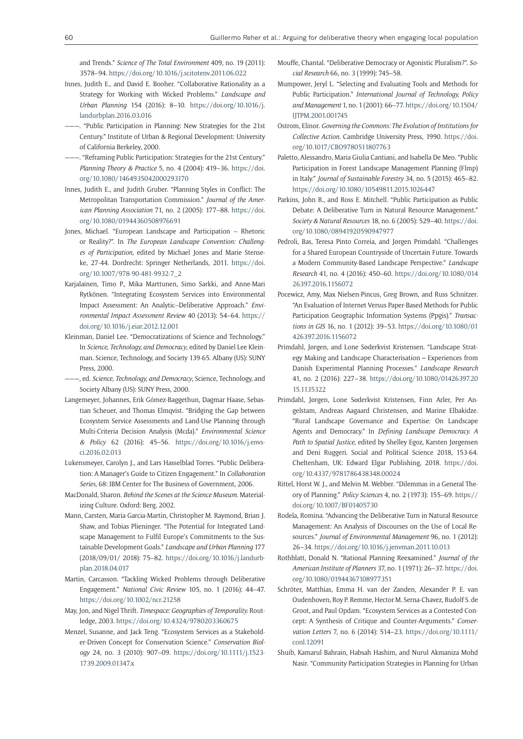and Trends." *Science of The Total Environment* 409, no. 19 (2011): 3578–94.<https://doi.org/10.1016/j.scitotenv.2011.06.022>

- Innes, Judith E., and David E. Booher. "Collaborative Rationality as a Strategy for Working with Wicked Problems." *Landscape and Urban Planning* 154 (2016): 8–10. [https://doi.org/10.1016/j.](https://doi.org/10.1016/j.landurbplan.2016.03.016) [landurbplan.2016.03.016](https://doi.org/10.1016/j.landurbplan.2016.03.016)
- ———. "Public Participation in Planning: New Strategies for the 21st Century." Institute of Urban & Regional Development: University of California Berkeley, 2000.
- ———. "Reframing Public Participation: Strategies for the 21st Century." *Planning Theory & Practice* 5, no. 4 (2004): 419–36. [https://doi.](https://doi.org/10.1080/1464935042000293170) [org/10.1080/1464935042000293170](https://doi.org/10.1080/1464935042000293170)
- Innes, Judith E., and Judith Gruber. "Planning Styles in Conflict: The Metropolitan Transportation Commission." *Journal of the American Planning Association* 71, no. 2 (2005): 177–88. [https://doi.](https://doi.org/10.1080/01944360508976691) [org/10.1080/01944360508976691](https://doi.org/10.1080/01944360508976691)
- Jones, Michael. "European Landscape and Participation Rhetoric or Reality?". In *The European Landscape Convention: Challenges of Participation*, edited by Michael Jones and Marie Stenseke, 27-44. Dordrecht: Springer Netherlands, 2011. [https://doi.](https://doi.org/10.1007/978-90-481-9932-7_2) [org/10.1007/978-90-481-9932-7\\_2](https://doi.org/10.1007/978-90-481-9932-7_2)
- Karjalainen, Timo P., Mika Marttunen, Simo Sarkki, and Anne-Mari Rytkönen. "Integrating Ecosystem Services into Environmental Impact Assessment: An Analytic–Deliberative Approach." *Environmental Impact Assessment Review* 40 (2013): 54–64. [https://](https://doi.org/10.1016/j.eiar.2012.12.001) [doi.org/10.1016/j.eiar.2012.12.001](https://doi.org/10.1016/j.eiar.2012.12.001)
- Kleinman, Daniel Lee. "Democratizations of Science and Technology." In *Science, Technology, and Democracy*, edited by Daniel Lee Kleinman. Science, Technology, and Society 139-65. Albany (US): SUNY Press, 2000.
- ———, ed. *Science, Technology, and Democracy*, Science, Technology, and Society Albany (US): SUNY Press, 2000.
- Langemeyer, Johannes, Erik Gómez-Baggethun, Dagmar Haase, Sebastian Scheuer, and Thomas Elmqvist. "Bridging the Gap between Ecosystem Service Assessments and Land-Use Planning through Multi-Criteria Decision Analysis (Mcda)." *Environmental Science & Policy* 62 (2016): 45–56. [https://doi.org/10.1016/j.envs](https://doi.org/10.1016/j.envsci.2016.02.013)[ci.2016.02.013](https://doi.org/10.1016/j.envsci.2016.02.013)
- Lukensmeyer, Carolyn J., and Lars Hasselblad Torres. "Public Deliberation: A Manager's Guide to Citizen Engagement." In *Collaboration Series*, 68: IBM Center for The Business of Government, 2006.
- MacDonald, Sharon. *Behind the Scenes at the Science Museum.* Materializing Culture. Oxford: Berg, 2002.
- Mann, Carsten, Maria Garcia-Martin, Christopher M. Raymond, Brian J. Shaw, and Tobias Plieninger. "The Potential for Integrated Landscape Management to Fulfil Europe's Commitments to the Sustainable Development Goals." *Landscape and Urban Planning* 177 (2018/09/01/ 2018): 75–82. [https://doi.org/10.1016/j.landurb](https://doi.org/10.1016/j.landurbplan.2018.04.017)[plan.2018.04.017](https://doi.org/10.1016/j.landurbplan.2018.04.017)
- Martin, Carcasson. "Tackling Wicked Problems through Deliberative Engagement." *National Civic Review* 105, no. 1 (2016): 44–47. <https://doi.org/10.1002/ncr.21258>
- May, Jon, and Nigel Thrift. *Timespace: Geographies of Temporality.* Routledge, 2003.<https://doi.org/10.4324/9780203360675>
- Menzel, Susanne, and Jack Teng. "Ecosystem Services as a Stakeholder-Driven Concept for Conservation Science." *Conservation Biology* 24, no. 3 (2010): 907–09. [https://doi.org/10.1111/j.1523-](https://doi.org/10.1111/j.1523-1739.2009.01347.x) [1739.2009.01347.x](https://doi.org/10.1111/j.1523-1739.2009.01347.x)
- Mouffe, Chantal. "Deliberative Democracy or Agonistic Pluralism?". *Social Research* 66, no. 3 (1999): 745–58.
- Mumpower, Jeryl L. "Selecting and Evaluating Tools and Methods for Public Participation." *International Journal of Technology, Policy and Management* 1, no. 1 (2001): 66–77. [https://doi.org/10.1504/](https://doi.org/10.1504/IJTPM.2001.001745) [IJTPM.2001.001745](https://doi.org/10.1504/IJTPM.2001.001745)
- Ostrom, Elinor. *Governing the Commons: The Evolution of Institutions for Collective Action.* Cambridge University Press, 1990. [https://doi.](https://doi.org/10.1017/CBO9780511807763) [org/10.1017/CBO9780511807763](https://doi.org/10.1017/CBO9780511807763)
- Paletto, Alessandro, Maria Giulia Cantiani, and Isabella De Meo. "Public Participation in Forest Landscape Management Planning (Flmp) in Italy." *Journal of Sustainable Forestry* 34, no. 5 (2015): 465–82. <https://doi.org/10.1080/10549811.2015.1026447>
- Parkins, John R., and Ross E. Mitchell. "Public Participation as Public Debate: A Deliberative Turn in Natural Resource Management." *Society & Natural Resources* 18, no. 6 (2005): 529–40. [https://doi.](https://doi.org/10.1080/08941920590947977) [org/10.1080/08941920590947977](https://doi.org/10.1080/08941920590947977)
- Pedroli, Bas, Teresa Pinto Correia, and Jørgen Primdahl. "Challenges for a Shared European Countryside of Uncertain Future. Towards a Modern Community-Based Landscape Perspective." *Landscape Research* 41, no. 4 (2016): 450–60. [https://doi.org/10.1080/014](https://doi.org/10.1080/01426397.2016.1156072) [26397.2016.1156072](https://doi.org/10.1080/01426397.2016.1156072)
- Pocewicz, Amy, Max Nielsen-Pincus, Greg Brown, and Russ Schnitzer. "An Evaluation of Internet Versus Paper-Based Methods for Public Participation Geographic Information Systems (Ppgis)." *Transactions in GIS* 16, no. 1 (2012): 39–53. [https://doi.org/10.1080/01](https://doi.org/10.1080/01426397.2016.1156072) [426397.2016.1156072](https://doi.org/10.1080/01426397.2016.1156072)
- Primdahl, Jørgen, and Lone Søderkvist Kristensen. "Landscape Strategy Making and Landscape Characterisation – Experiences from Danish Experimental Planning Processes." *Landscape Research*  41, no. 2 (2016): 227–38. [https://doi.org/10.1080/01426397.20](https://doi.org/10.1080/01426397.2015.1135322) [15.1135322](https://doi.org/10.1080/01426397.2015.1135322)
- Primdahl, Jørgen, Lone Søderkvist Kristensen, Finn Arler, Per Angelstam, Andreas Aagaard Christensen, and Marine Elbakidze. "Rural Landscape Governance and Expertise: On Landscape Agents and Democracy." In *Defining Landscape Democracy. A Path to Spatial Justice*, edited by Shelley Egoz, Karsten Jørgensen and Deni Ruggeri. Social and Political Science 2018, 153-64. Cheltenham, UK: Edward Elgar Publishing, 2018. [https://doi.](https://doi.org/10.4337/9781786438348.00024) [org/10.4337/9781786438348.00024](https://doi.org/10.4337/9781786438348.00024)
- Rittel, Horst W. J., and Melvin M. Webber. "Dilemmas in a General Theory of Planning." *Policy Sciences* 4, no. 2 (1973): 155–69. [https://](https://doi.org/10.1007/BF01405730) [doi.org/10.1007/BF01405730](https://doi.org/10.1007/BF01405730)
- Rodela, Romina. "Advancing the Deliberative Turn in Natural Resource Management: An Analysis of Discourses on the Use of Local Resources." *Journal of Environmental Management* 96, no. 1 (2012): 26–34. <https://doi.org/10.1016/j.jenvman.2011.10.013>
- Rothblatt, Donald N. "Rational Planning Reexamined." *Journal of the American Institute of Planners* 37, no. 1 (1971): 26–37. [https://doi.](https://doi.org/10.1080/01944367108977351) [org/10.1080/01944367108977351](https://doi.org/10.1080/01944367108977351)
- Schröter, Matthias, Emma H. van der Zanden, Alexander P. E. van Oudenhoven, Roy P. Remme, Hector M. Serna-Chavez, Rudolf S. de Groot, and Paul Opdam. "Ecosystem Services as a Contested Concept: A Synthesis of Critique and Counter-Arguments." *Conservation Letters* 7, no. 6 (2014): 514–23. [https://doi.org/10.1111/](https://doi.org/10.1111/conl.12091) [conl.12091](https://doi.org/10.1111/conl.12091)
- Shuib, Kamarul Bahrain, Habsah Hashim, and Nurul Akmaniza Mohd Nasir. "Community Participation Strategies in Planning for Urban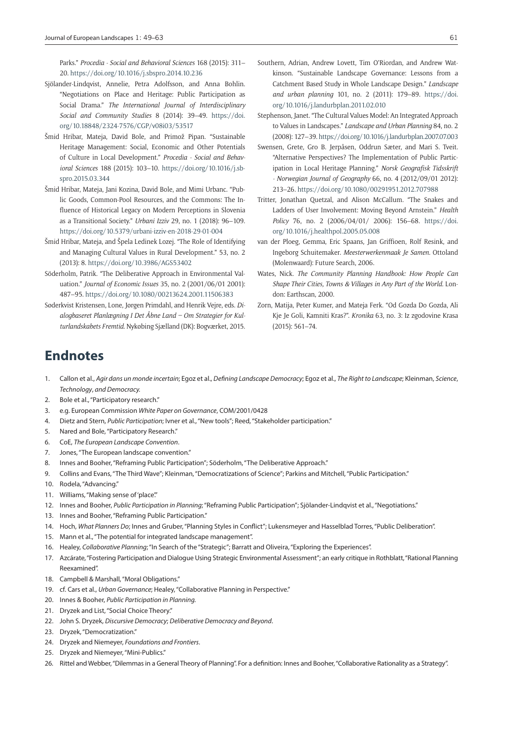Parks." *Procedia - Social and Behavioral Sciences* 168 (2015): 311– 20.<https://doi.org/10.1016/j.sbspro.2014.10.236>

- Sjölander-Lindqvist, Annelie, Petra Adolfsson, and Anna Bohlin. "Negotiations on Place and Heritage: Public Participation as Social Drama." *The International Journal of Interdisciplinary Social and Community Studies* 8 (2014): 39–49. [https://doi.](https://doi.org/10.18848/2324-7576/CGP/v08i03/53517) [org/10.18848/2324-7576/CGP/v08i03/53517](https://doi.org/10.18848/2324-7576/CGP/v08i03/53517)
- Šmid Hribar, Mateja, David Bole, and Primož Pipan. "Sustainable Heritage Management: Social, Economic and Other Potentials of Culture in Local Development." *Procedia - Social and Behavioral Sciences* 188 (2015): 103–10. [https://doi.org/10.1016/j.sb](https://doi.org/10.1016/j.sbspro.2015.03.344)[spro.2015.03.344](https://doi.org/10.1016/j.sbspro.2015.03.344)
- Šmid Hribar, Mateja, Jani Kozina, David Bole, and Mimi Urbanc. "Public Goods, Common-Pool Resources, and the Commons: The Influence of Historical Legacy on Modern Perceptions in Slovenia as a Transitional Society." *Urbani Izziv* 29, no. 1 (2018): 96–109. <https://doi.org/10.5379/urbani-izziv-en-2018-29-01-004>
- Šmid Hribar, Mateja, and Špela Ledinek Lozej. "The Role of Identifying and Managing Cultural Values in Rural Development." 53, no. 2 (2013): 8.<https://doi.org/10.3986/AGS53402>
- Söderholm, Patrik. "The Deliberative Approach in Environmental Valuation." *Journal of Economic Issues* 35, no. 2 (2001/06/01 2001): 487–95.<https://doi.org/10.1080/00213624.2001.11506383>
- Søderkvist Kristensen, Lone, Jørgen Primdahl, and Henrik Vejre, eds. *Dialogbaseret Planlægning I Det Åbne Land – Om Strategier for Kulturlandskabets Fremtid*. Nykøbing Sjælland (DK): Bogværket, 2015.
- Southern, Adrian, Andrew Lovett, Tim O'Riordan, and Andrew Watkinson. "Sustainable Landscape Governance: Lessons from a Catchment Based Study in Whole Landscape Design." *Landscape and urban planning* 101, no. 2 (2011): 179–89. [https://doi.](https://doi.org/10.1016/j.landurbplan.2011.02.010) [org/10.1016/j.landurbplan.2011.02.010](https://doi.org/10.1016/j.landurbplan.2011.02.010)
- Stephenson, Janet. "The Cultural Values Model: An Integrated Approach to Values in Landscapes." *Landscape and Urban Planning* 84, no. 2 (2008): 127–39.<https://doi.org/10.1016/j.landurbplan.2007.07.003>
- Swensen, Grete, Gro B. Jerpåsen, Oddrun Sæter, and Mari S. Tveit. "Alternative Perspectives? The Implementation of Public Participation in Local Heritage Planning." *Norsk Geografisk Tidsskrift - Norwegian Journal of Geography* 66, no. 4 (2012/09/01 2012): 213–26. <https://doi.org/10.1080/00291951.2012.707988>
- Tritter, Jonathan Quetzal, and Alison McCallum. "The Snakes and Ladders of User Involvement: Moving Beyond Arnstein." *Health Policy* 76, no. 2 (2006/04/01/ 2006): 156–68. [https://doi.](https://doi.org/10.1016/j.healthpol.2005.05.008) [org/10.1016/j.healthpol.2005.05.008](https://doi.org/10.1016/j.healthpol.2005.05.008)
- van der Ploeg, Gemma, Eric Spaans, Jan Griffioen, Rolf Resink, and Ingeborg Schuitemaker. *Meesterwerkenmaak Je Samen.* Ottoland (Molenwaard): Future Search, 2006.
- Wates, Nick. *The Community Planning Handbook: How People Can Shape Their Cities, Towns & Villages in Any Part of the World.* London: Earthscan, 2000.
- Zorn, Matija, Peter Kumer, and Mateja Ferk. "Od Gozda Do Gozda, Ali Kje Je Goli, Kamniti Kras?". *Kronika* 63, no. 3: Iz zgodovine Krasa (2015): 561–74.

## **Endnotes**

- 1. Callon et al., *Agir dans un monde incertain*; Egoz et al., *Defining Landscape Democracy*; Egoz et al., *The Right to Landscape*; Kleinman, *Science*, *Technology*, *and Democracy.*
- 2. Bole et al., "Participatory research."
- 3. e.g. European Commission *White Paper on Governance*, COM/2001/0428
- 4. Dietz and Stern, *Public Participation*; Ivner et al., "New tools"; Reed, "Stakeholder participation."
- 5. Nared and Bole, "Participatory Research."
- 6. CoE, *The European Landscape Convention*.
- 7. Jones, "The European landscape convention."
- 8. Innes and Booher, "Reframing Public Participation"; Söderholm, "The Deliberative Approach."
- 9. Collins and Evans, "The Third Wave"; Kleinman, "Democratizations of Science"; Parkins and Mitchell, "Public Participation."
- 10. Rodela, "Advancing."
- 11. Williams, "Making sense of 'place'."
- 12. Innes and Booher, *Public Participation in Planning*; "Reframing Public Participation"; Sjölander-Lindqvist et al., "Negotiations."
- 13. Innes and Booher, "Reframing Public Participation."
- 14. Hoch, *What Planners Do*; Innes and Gruber, "Planning Styles in Conflict"; Lukensmeyer and Hasselblad Torres, "Public Deliberation".
- 15. Mann et al., "The potential for integrated landscape management".
- 16. Healey, *Collaborative Planning*; "In Search of the "Strategic"; Barratt and Oliveira, "Exploring the Experiences".
- 17. Azcárate, "Fostering Participation and Dialogue Using Strategic Environmental Assessment"; an early critique in Rothblatt, "Rational Planning Reexamined".
- 18. Campbell & Marshall, "Moral Obligations."
- 19. cf. Cars et al., *Urban Governance*; Healey, "Collaborative Planning in Perspective."
- 20. Innes & Booher, *Public Participation in Planning.*
- 21. Dryzek and List, "Social Choice Theory."
- 22. John S. Dryzek, *Discursive Democracy*; *Deliberative Democracy and Beyond*.
- 23. Dryzek, "Democratization."
- 24. Dryzek and Niemeyer, *Foundations and Frontiers*.
- 25. Dryzek and Niemeyer, "Mini-Publics."
- 26. Rittel and Webber, "Dilemmas in a General Theory of Planning". For a definition: Innes and Booher, "Collaborative Rationality as a Strategy".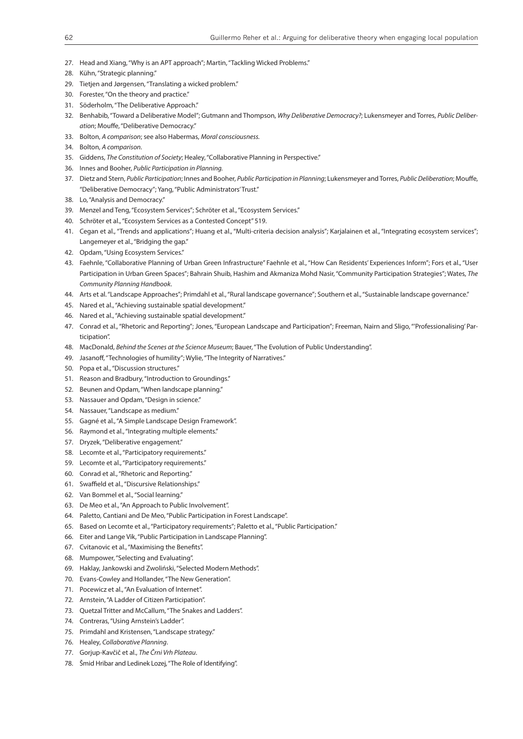- 27. Head and Xiang, "Why is an APT approach"; Martin, "Tackling Wicked Problems."
- 28. Kühn, "Strategic planning."
- 29. Tietjen and Jørgensen, "Translating a wicked problem."
- 30. Forester, "On the theory and practice."
- 31. Söderholm, "The Deliberative Approach."
- 32. Benhabib, "Toward a Deliberative Model"; Gutmann and Thompson, *Why Deliberative Democracy?*; Lukensmeyer and Torres, *Public Deliberation*; Mouffe, "Deliberative Democracy."
- 33. Bolton, *A comparison*; see also Habermas, *Moral consciousness.*
- 34. Bolton, *A comparison.*
- 35. Giddens, *The Constitution of Society*; Healey, "Collaborative Planning in Perspective."
- 36. Innes and Booher, *Public Participation in Planning.*
- 37. Dietz and Stern, *Public Participation*; Innes and Booher, *Public Participation in Planning*; Lukensmeyer and Torres, *Public Deliberation*; Mouffe, "Deliberative Democracy"; Yang, "Public Administrators' Trust."
- 38. Lo, "Analysis and Democracy."
- 39. Menzel and Teng, "Ecosystem Services"; Schröter et al., "Ecosystem Services."
- 40. Schröter et al., "Ecosystem Services as a Contested Concept" 519.
- 41. Cegan et al., "Trends and applications"; Huang et al., "Multi-criteria decision analysis"; Karjalainen et al., "Integrating ecosystem services"; Langemeyer et al., "Bridging the gap."
- 42. Opdam, "Using Ecosystem Services."
- 43. Faehnle, "Collaborative Planning of Urban Green Infrastructure" Faehnle et al., "How Can Residents' Experiences Inform"; Fors et al., "User Participation in Urban Green Spaces"; Bahrain Shuib, Hashim and Akmaniza Mohd Nasir, "Community Participation Strategies"; Wates, *The Community Planning Handbook*.
- 44. Arts et al. "Landscape Approaches"; Primdahl et al., "Rural landscape governance"; Southern et al., "Sustainable landscape governance."
- 45. Nared et al., "Achieving sustainable spatial development."
- 46. Nared et al., "Achieving sustainable spatial development."
- 47. Conrad et al., "Rhetoric and Reporting"; Jones, "European Landscape and Participation"; Freeman, Nairn and Sligo, "'Professionalising' Participation".
- 48. MacDonald, *Behind the Scenes at the Science Museum*; Bauer, "The Evolution of Public Understanding".
- 49. Jasanoff, "Technologies of humility"; Wylie, "The Integrity of Narratives."
- 50. Popa et al., "Discussion structures."
- 51. Reason and Bradbury, "Introduction to Groundings."
- 52. Beunen and Opdam, "When landscape planning."
- 53. Nassauer and Opdam, "Design in science."
- 54. Nassauer, "Landscape as medium."
- 55. Gagné et al., "A Simple Landscape Design Framework".
- 56. Raymond et al., "Integrating multiple elements."
- 57. Dryzek, "Deliberative engagement."
- 58. Lecomte et al., "Participatory requirements."
- 59. Lecomte et al., "Participatory requirements."
- 60. Conrad et al., "Rhetoric and Reporting."
- 61. Swaffield et al., "Discursive Relationships."
- 62. Van Bommel et al., "Social learning."
- 63. De Meo et al., "An Approach to Public Involvement".
- 64. Paletto, Cantiani and De Meo, "Public Participation in Forest Landscape".
- 65. Based on Lecomte et al., "Participatory requirements"; Paletto et al., "Public Participation."
- 66. Eiter and Lange Vik, "Public Participation in Landscape Planning".
- 67. Cvitanovic et al., "Maximising the Benefits".
- 68. Mumpower, "Selecting and Evaluating".
- 69. Haklay, Jankowski and Zwoliński, "Selected Modern Methods".
- 70. Evans-Cowley and Hollander, "The New Generation".
- 71. Pocewicz et al., "An Evaluation of Internet".
- 72. Arnstein, "A Ladder of Citizen Participation".
- 73. Quetzal Tritter and McCallum, "The Snakes and Ladders".
- 74. Contreras, "Using Arnstein's Ladder".
- 75. Primdahl and Kristensen, "Landscape strategy."
- 76. Healey, *Collaborative Planning*.
- 77. Gorjup-Kavčič et al., *The Črni Vrh Plateau*.
- 78. Šmid Hribar and Ledinek Lozej, "The Role of Identifying".